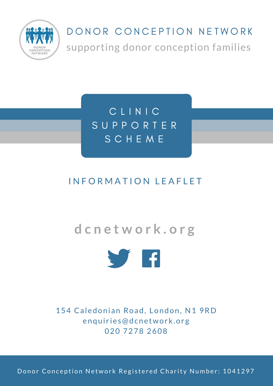

# DONOR CONCEPTION NETWORK supporting donor conception families

C L I N I C S U P P O R T E R S C H E M E

#### INFORMATION LEAFLET

### **d c n e t w o r k . o r g**



154 Caledonian Road, London, N1 9RD enquiries@dcnetwork.org 020 7278 2608

Donor Conception Network Registered Charity Number: 1041297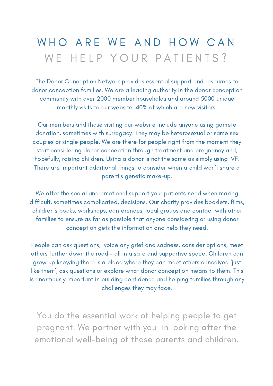## WHO ARE WE AND HOW CAN WE HELP YOUR PATIENTS?

The Donor Conception Network provides essential support and resources to donor conception families. We are a leading authority in the donor conception community with over 2000 member households and around 5000 unique monthly visits to our website, 40% of which are new visitors.

Our members and those visiting our website include anyone using gamete donation, sometimes with surrogacy. They may be heterosexual or same sex couples or single people. We are there for people right from the moment they start considering donor conception through treatment and pregnancy and, hopefully, raising children. Using a donor is not the same as simply using IVF. There are important additional things to consider when a child won't share a parent's genetic make-up.

We offer the social and emotional support your patients need when making difficult, sometimes complicated, decisions. Our charity provides booklets, films, children's books, workshops, conferences, local groups and contact with other families to ensure as far as possible that anyone considering or using donor conception gets the information and help they need.

People can ask questions, voice any grief and sadness, consider options, meet others further down the road – all in a safe and supportive space. Children can grow up knowing there is a place where they can meet others conceived 'just like them', ask questions or explore what donor conception means to them. This is enormously important in building confidence and helping families through any challenges they may face.

You do the essential work of helping people to get pregnant. We partner with you in looking after the emotional well-being of those parents and children.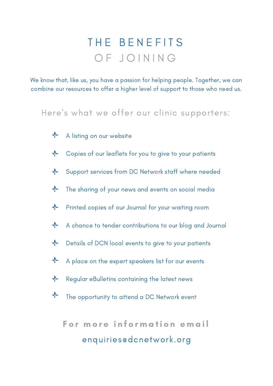# THE BENEFITS OF JOINING

We know that, like us, you have a passion for helping people. Together, we can combine our resources to offer a higher level of support to those who need us.

Here 's what we offer our clinic supporters:

- $\frac{1}{2}$ A listing on our website
- $\frac{1}{2}$ Copies of our leaflets for you to give to your patients
- Support services from DC Network staff where needed  $\frac{1}{2}$
- $\frac{1}{2}$ The sharing of your news and events on social media
- $\frac{1}{2}$ Printed copies of our Journal for your waiting room
- $\frac{1}{2}$ A chance to tender contributions to our blog and Journal
- $\frac{1}{2}$ Details of DCN local events to give to your patients
- $\frac{1}{2}$ A place on the expert speakers list for our events
- $\frac{1}{2}$ Regular eBulletins containing the latest news
- $\frac{1}{2}$ The opportunity to attend a DC Network event

For more information email enquiries@dcnetwork.org